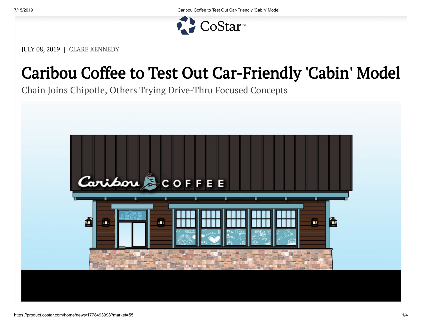

JULY 08, 2019 | CLARE KENNEDY

## Caribou Coffee to Test Out Car-Friendly 'Cabin' Model

Chain Joins Chipotle, Others Trying Drive-Thru Focused Concepts

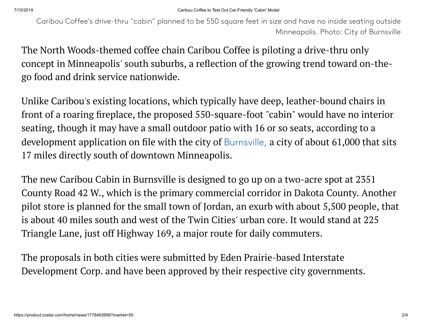Caribou Coffee's drive-thru "cabin" planned to be 550 square feet in size and have no inside seating outside Minneapolis. Photo: City of Burnsville

The North Woods-themed coffee chain Caribou Coffee is piloting a drive-thru only concept in Minneapolis' south suburbs, a reflection of the growing trend toward on-thego food and drink service nationwide.

Unlike Caribou's existing locations, which typically have deep, leather-bound chairs in front of a roaring fireplace, the proposed 550-square-foot "cabin" would have no interior seating, though it may have a small outdoor patio with 16 or so seats, according to a development application on file with the city of [Burnsville,](https://product.costar.com/Market/#/search/detail/submarket/USA/type/0/property/6/geography/2836/slice/all) a city of about  $61,000$  that sits 17 miles directly south of downtown Minneapolis.

The new Caribou Cabin in Burnsville is designed to go up on a two-acre spot at 2351 County Road 42 W., which is the primary commercial corridor in Dakota County. Another pilot store is planned for the small town of Jordan, an exurb with about 5,500 people, that is about 40 miles south and west of the Twin Cities' urban core. It would stand at 225 Triangle Lane, just off Highway 169, a major route for daily commuters.

The proposals in both cities were submitted by Eden Prairie-based Interstate Development Corp. and have been approved by their respective city governments.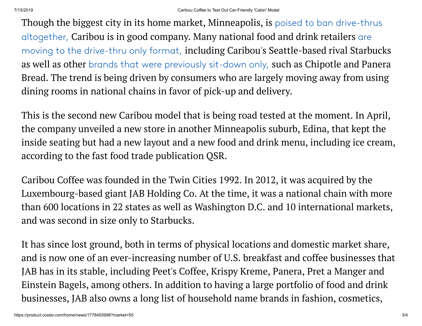Though the biggest city in its home market, Minneapolis, is [poised to ban drive-thrus](https://product.costar.com/home/news/75240363) altogether, Caribou is in good company. Many national food and drink retailers are [moving to the drive-thru only format,](https://product.costar.com/home/news/577085300) including Caribou's Seattle-based rival Starbucks as well as other [brands that were previously sit-down only,](https://product.costar.com/home/news/1078807994) such as Chipotle and Panera Bread. The trend is being driven by consumers who are largely moving away from using dining rooms in national chains in favor of pick-up and delivery.

This is the second new Caribou model that is being road tested at the moment. In April, the company unveiled a new store in another Minneapolis suburb, Edina, that kept the inside seating but had a new layout and a new food and drink menu, including ice cream, according to the fast food trade publication QSR.

Caribou Coffee was founded in the Twin Cities 1992. In 2012, it was acquired by the Luxembourg-based giant JAB Holding Co. At the time, it was a national chain with more than 600 locations in 22 states as well as Washington D.C. and 10 international markets, and was second in size only to Starbucks.

It has since lost ground, both in terms of physical locations and domestic market share, and is now one of an ever-increasing number of U.S. breakfast and coffee businesses that JAB has in its stable, including Peet's Coffee, Krispy Kreme, Panera, Pret a Manger and Einstein Bagels, among others. In addition to having a large portfolio of food and drink businesses, JAB also owns a long list of household name brands in fashion, cosmetics,